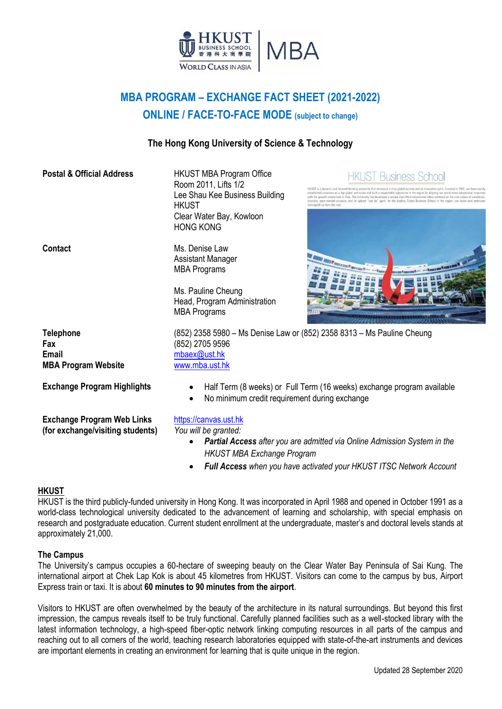

# **MBA PROGRAM – EXCHANGE FACT SHEET (2021-2022) ONLINE / FACE-TO-FACE MODE (subject to change)**

#### **The Hong Kong University of Science & Technology**

| <b>Postal &amp; Official Address</b>                                  | <b>HKUST MBA Program Office</b><br><b>JST Business School</b><br>Room 2011, Lifts 1/2<br>is a dynamic and forward-thinking university that embraces a truly global outlook and an innovative spirit. Founded in<br>Lee Shau Kee Business Building<br>red ourselves as a top global institution and built a respectable reputation in the region by aligning our world-class<br>owth momentum of Asia. The University has developed a unique East-West educational ethos centered on the<br>diversity, open-minded curiosity, and an upbeat "can do" spirit. As the leading Global Business School in the regi<br><b>HKUST</b><br>Clear Water Bay, Kowloon<br><b>HONG KONG</b> |  |  |  |
|-----------------------------------------------------------------------|-------------------------------------------------------------------------------------------------------------------------------------------------------------------------------------------------------------------------------------------------------------------------------------------------------------------------------------------------------------------------------------------------------------------------------------------------------------------------------------------------------------------------------------------------------------------------------------------------------------------------------------------------------------------------------|--|--|--|
| <b>Contact</b>                                                        | Ms. Denise Law<br><b>Assistant Manager</b><br><b>EXAMPLE AND A NEW YORK BEEN N  </b><br><b>MBA Programs</b><br>Ms. Pauline Cheung<br>Head, Program Administration<br><b>MBA Programs</b>                                                                                                                                                                                                                                                                                                                                                                                                                                                                                      |  |  |  |
| <b>Telephone</b><br>Fax<br><b>Email</b><br><b>MBA Program Website</b> | (852) 2358 5980 - Ms Denise Law or (852) 2358 8313 - Ms Pauline Cheung<br>(852) 2705 9596<br>mbaex@ust.hk<br>www.mba.ust.hk                                                                                                                                                                                                                                                                                                                                                                                                                                                                                                                                                   |  |  |  |
| <b>Exchange Program Highlights</b>                                    | Half Term (8 weeks) or Full Term (16 weeks) exchange program available<br>$\bullet$<br>No minimum credit requirement during exchange                                                                                                                                                                                                                                                                                                                                                                                                                                                                                                                                          |  |  |  |
| <b>Exchange Program Web Links</b><br>(for exchange/visiting students) | https://canvas.ust.hk<br>You will be granted:<br><b>Partial Access</b> after you are admitted via Online Admission System in the<br><b>HKUST MBA Exchange Program</b><br>Full Access when you have activated your HKUST ITSC Network Account                                                                                                                                                                                                                                                                                                                                                                                                                                  |  |  |  |

#### **HKUST**

HKUST is the third publicly-funded university in Hong Kong. It was incorporated in April 1988 and opened in October 1991 as a world-class technological university dedicated to the advancement of learning and scholarship, with special emphasis on research and postgraduate education. Current student enrollment at the undergraduate, master's and doctoral levels stands at approximately 21,000.

#### **The Campus**

The University's campus occupies a 60-hectare of sweeping beauty on the Clear Water Bay Peninsula of Sai Kung. The international airport at Chek Lap Kok is about 45 kilometres from HKUST. Visitors can come to the campus by bus, Airport Express train or taxi. It is about **60 minutes to 90 minutes from the airport**.

Visitors to HKUST are often overwhelmed by the beauty of the architecture in its natural surroundings. But beyond this first impression, the campus reveals itself to be truly functional. Carefully planned facilities such as a well-stocked library with the latest information technology, a high-speed fiber-optic network linking computing resources in all parts of the campus and reaching out to all corners of the world, teaching research laboratories equipped with state-of-the-art instruments and devices are important elements in creating an environment for learning that is quite unique in the region.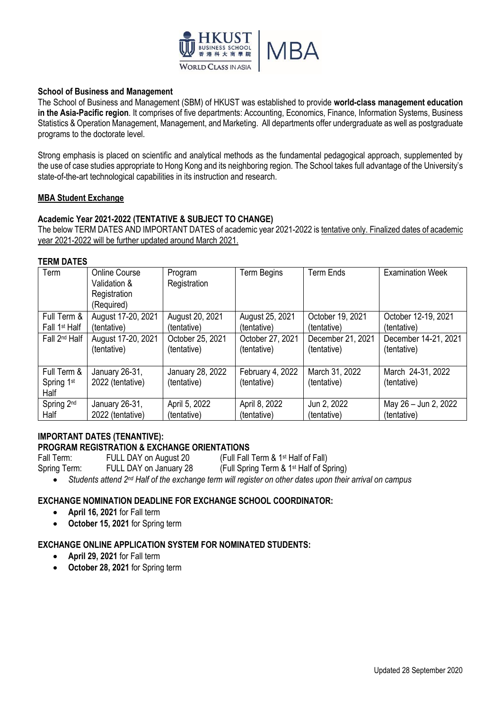

#### **School of Business and Management**

The School of Business and Management (SBM) of HKUST was established to provide **world-class management education in the Asia-Pacific region**. It comprises of five departments: Accounting, Economics, Finance, Information Systems, Business Statistics & Operation Management, Management, and Marketing. All departments offer undergraduate as well as postgraduate programs to the doctorate level.

Strong emphasis is placed on scientific and analytical methods as the fundamental pedagogical approach, supplemented by the use of case studies appropriate to Hong Kong and its neighboring region. The School takes full advantage of the University's state-of-the-art technological capabilities in its instruction and research.

#### **MBA Student Exchange**

#### **Academic Year 2021-2022 (TENTATIVE & SUBJECT TO CHANGE)**

The below TERM DATES AND IMPORTANT DATES of academic year 2021-2022 is tentative only. Finalized dates of academic year 2021-2022 will be further updated around March 2021.

#### **TERM DATES**

| Term                      | <b>Online Course</b><br>Validation &<br>Registration<br>(Required) | Program<br>Registration | <b>Term Begins</b> | <b>Term Ends</b>  | <b>Examination Week</b> |
|---------------------------|--------------------------------------------------------------------|-------------------------|--------------------|-------------------|-------------------------|
| Full Term &               | August 17-20, 2021                                                 | August 20, 2021         | August 25, 2021    | October 19, 2021  | October 12-19, 2021     |
| Fall 1 <sup>st</sup> Half | (tentative)                                                        | (tentative)             | (tentative)        | (tentative)       | (tentative)             |
| Fall 2 <sup>nd</sup> Half | August 17-20, 2021                                                 | October 25, 2021        | October 27, 2021   | December 21, 2021 | December 14-21, 2021    |
|                           | (tentative)                                                        | (tentative)             | (tentative)        | (tentative)       | (tentative)             |
| Full Term &               | January 26-31,                                                     | January 28, 2022        | February 4, 2022   | March 31, 2022    | March 24-31, 2022       |
| Spring 1st                | 2022 (tentative)                                                   | (tentative)             | (tentative)        | (tentative)       | (tentative)             |
| Half                      |                                                                    |                         |                    |                   |                         |
| Spring 2 <sup>nd</sup>    | January 26-31,                                                     | April 5, 2022           | April 8, 2022      | Jun 2, 2022       | May 26 - Jun 2, 2022    |
| Half                      | 2022 (tentative)                                                   | (tentative)             | (tentative)        | (tentative)       | (tentative)             |

## **IMPORTANT DATES (TENANTIVE):**

**PROGRAM REGISTRATION & EXCHANGE ORIENTATIONS**

Fall Term: FULL DAY on August 20 (Full Fall Term & 1st Half of Fall)

Spring Term: FULL DAY on January 28 (Full Spring Term & 1st Half of Spring)

*Students attend 2nd Half of the exchange term will register on other dates upon their arrival on campus*

#### **EXCHANGE NOMINATION DEADLINE FOR EXCHANGE SCHOOL COORDINATOR:**

- **April 16, 2021** for Fall term
- **October 15, 2021** for Spring term

#### **EXCHANGE ONLINE APPLICATION SYSTEM FOR NOMINATED STUDENTS:**

- **April 29, 2021** for Fall term
- **October 28, 2021** for Spring term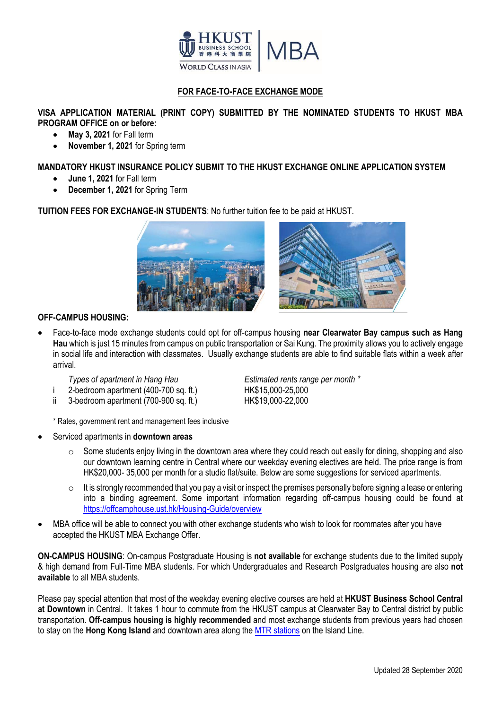

## **FOR FACE-TO-FACE EXCHANGE MODE**

#### **VISA APPLICATION MATERIAL (PRINT COPY) SUBMITTED BY THE NOMINATED STUDENTS TO HKUST MBA PROGRAM OFFICE on or before:**

- **May 3, 2021** for Fall term
- **November 1, 2021** for Spring term

#### **MANDATORY HKUST INSURANCE POLICY SUBMIT TO THE HKUST EXCHANGE ONLINE APPLICATION SYSTEM**

- **June 1, 2021** for Fall term
- **December 1, 2021** for Spring Term

**TUITION FEES FOR EXCHANGE-IN STUDENTS**: No further tuition fee to be paid at HKUST.



#### **OFF-CAMPUS HOUSING:**

 Face-to-face mode exchange students could opt for off-campus housing **near Clearwater Bay campus such as Hang Hau** which is just 15 minutes from campus on public transportation or Sai Kung. The proximity allows you to actively engage in social life and interaction with classmates. Usually exchange students are able to find suitable flats within a week after arrival.

*Types of apartment in Hang Hau Estimated rents range per month \**

- i 2-bedroom apartment (400-700 sq. ft.) HK\$15,000-25,000
- ii 3-bedroom apartment (700-900 sq. ft.) HK\$19,000-22,000

\* Rates, government rent and management fees inclusive

- Serviced apartments in **downtown areas**
	- o Some students enjoy living in the downtown area where they could reach out easily for dining, shopping and also our downtown learning centre in Central where our weekday evening electives are held. The price range is from HK\$20,000-35,000 per month for a studio flat/suite. Below are some suggestions for serviced apartments.
	- $\circ$  It is strongly recommended that you pay a visit or inspect the premises personally before signing a lease or entering into a binding agreement. Some important information regarding off-campus housing could be found at <https://offcamphouse.ust.hk/Housing-Guide/overview>
- MBA office will be able to connect you with other exchange students who wish to look for roommates after you have accepted the HKUST MBA Exchange Offer.

**ON-CAMPUS HOUSING**: On-campus Postgraduate Housing is **not available** for exchange students due to the limited supply & high demand from Full-Time MBA students. For which Undergraduates and Research Postgraduates housing are also **not available** to all MBA students.

Please pay special attention that most of the weekday evening elective courses are held at **HKUST Business School Central at Downtown** in Central. It takes 1 hour to commute from the HKUST campus at Clearwater Bay to Central district by public transportation. **Off-campus housing is highly recommended** and most exchange students from previous years had chosen to stay on the **Hong Kong Island** and downtown area along the [MTR stations](http://www.mtr.com.hk/en/customer/services/system_map.html) on the Island Line.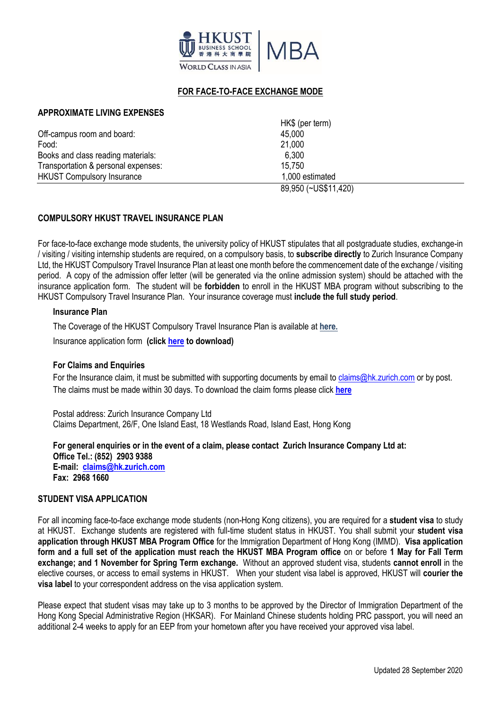

### **FOR FACE-TO-FACE EXCHANGE MODE**

#### **APPROXIMATE LIVING EXPENSES**

|                                     | 89,950 (~US\$11,420) |  |
|-------------------------------------|----------------------|--|
| <b>HKUST Compulsory Insurance</b>   | 1,000 estimated      |  |
| Transportation & personal expenses: | 15.750               |  |
| Books and class reading materials:  | 6,300                |  |
| Food:                               | 21,000               |  |
| Off-campus room and board:          | 45,000               |  |
|                                     | HK\$ (per term)      |  |

#### **COMPULSORY HKUST TRAVEL INSURANCE PLAN**

For face-to-face exchange mode students, the university policy of HKUST stipulates that all postgraduate studies, exchange-in / visiting / visiting internship students are required, on a compulsory basis, to **subscribe directly** to Zurich Insurance Company Ltd, the HKUST Compulsory Travel Insurance Plan at least one month before the commencement date of the exchange / visiting period. A copy of the admission offer letter (will be generated via the online admission system) should be attached with the insurance application form. The student will be **forbidden** to enroll in the HKUST MBA program without subscribing to the HKUST Compulsory Travel Insurance Plan. Your insurance coverage must **include the full study period**.

#### **Insurance Plan**

The Coverage of the HKUST Compulsory Travel Insurance Plan is available at **[here.](https://sfao.ust.hk/public/Revised_Coverage_Travel_In_Insur.pdf)**

Insurance application form **(click [here](https://sfao.ust.hk/public/Enrolment_form_Exchange_in_Re.pdf) to download)**

#### **For Claims and Enquiries**

For the Insurance claim, it must be submitted with supporting documents by email to [claims@hk.zurich.com](mailto:claims@hk.zurich.com) or by post. The claims must be made within 30 days. To download the claim forms please click **[here](https://sfao.ust.hk/public/Claim_Form_Travel_In_Insurance_2.pdf)**

Postal address: Zurich Insurance Company Ltd Claims Department, 26/F, One Island East, 18 Westlands Road, Island East, Hong Kong

**For general enquiries or in the event of a claim, please contact Zurich Insurance Company Ltd at: Office Tel.: (852) 2903 9388 E-mail: [claims@hk.zurich.com](mailto:claims@hk.zurich.com) Fax: 2968 1660**

#### **STUDENT VISA APPLICATION**

For all incoming face-to-face exchange mode students (non-Hong Kong citizens), you are required for a **student visa** to study at HKUST. Exchange students are registered with full-time student status in HKUST. You shall submit your **student visa application through HKUST MBA Program Office** for the Immigration Department of Hong Kong (IMMD). **Visa application form and a full set of the application must reach the HKUST MBA Program office** on or before **1 May for Fall Term exchange; and 1 November for Spring Term exchange.** Without an approved student visa, students **cannot enroll** in the elective courses, or access to email systems in HKUST. When your student visa label is approved, HKUST will **courier the visa label** to your correspondent address on the visa application system.

Please expect that student visas may take up to 3 months to be approved by the Director of Immigration Department of the Hong Kong Special Administrative Region (HKSAR). For Mainland Chinese students holding PRC passport, you will need an additional 2-4 weeks to apply for an EEP from your hometown after you have received your approved visa label.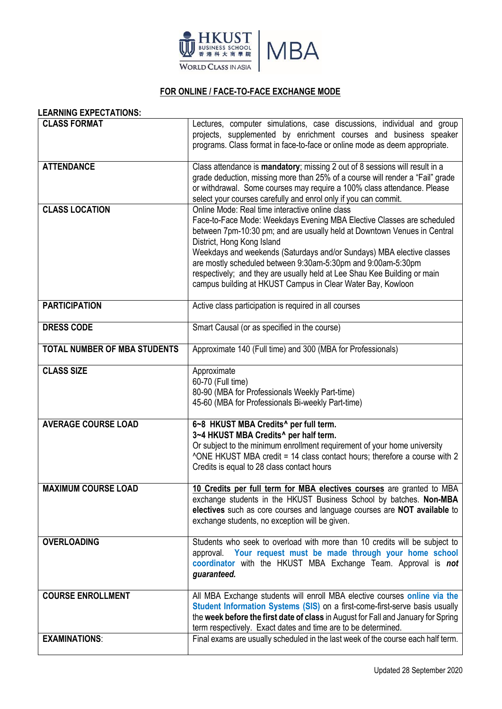

## **FOR ONLINE / FACE-TO-FACE EXCHANGE MODE**

#### **LEARNING EXPECTATIONS:**

| <b>CLASS FORMAT</b>                 | Lectures, computer simulations, case discussions, individual and group<br>projects, supplemented by enrichment courses and business speaker                                                                                                                                                                                                                                                                                                                                                                             |
|-------------------------------------|-------------------------------------------------------------------------------------------------------------------------------------------------------------------------------------------------------------------------------------------------------------------------------------------------------------------------------------------------------------------------------------------------------------------------------------------------------------------------------------------------------------------------|
|                                     | programs. Class format in face-to-face or online mode as deem appropriate.                                                                                                                                                                                                                                                                                                                                                                                                                                              |
| <b>ATTENDANCE</b>                   | Class attendance is mandatory; missing 2 out of 8 sessions will result in a<br>grade deduction, missing more than 25% of a course will render a "Fail" grade<br>or withdrawal. Some courses may require a 100% class attendance. Please<br>select your courses carefully and enrol only if you can commit.                                                                                                                                                                                                              |
| <b>CLASS LOCATION</b>               | Online Mode: Real time interactive online class<br>Face-to-Face Mode: Weekdays Evening MBA Elective Classes are scheduled<br>between 7pm-10:30 pm; and are usually held at Downtown Venues in Central<br>District, Hong Kong Island<br>Weekdays and weekends (Saturdays and/or Sundays) MBA elective classes<br>are mostly scheduled between 9:30am-5:30pm and 9:00am-5:30pm<br>respectively; and they are usually held at Lee Shau Kee Building or main<br>campus building at HKUST Campus in Clear Water Bay, Kowloon |
| <b>PARTICIPATION</b>                | Active class participation is required in all courses                                                                                                                                                                                                                                                                                                                                                                                                                                                                   |
| <b>DRESS CODE</b>                   | Smart Causal (or as specified in the course)                                                                                                                                                                                                                                                                                                                                                                                                                                                                            |
| <b>TOTAL NUMBER OF MBA STUDENTS</b> | Approximate 140 (Full time) and 300 (MBA for Professionals)                                                                                                                                                                                                                                                                                                                                                                                                                                                             |
| <b>CLASS SIZE</b>                   | Approximate<br>60-70 (Full time)<br>80-90 (MBA for Professionals Weekly Part-time)<br>45-60 (MBA for Professionals Bi-weekly Part-time)                                                                                                                                                                                                                                                                                                                                                                                 |
| <b>AVERAGE COURSE LOAD</b>          | 6~8 HKUST MBA Credits^ per full term.<br>3~4 HKUST MBA Credits^ per half term.<br>Or subject to the minimum enrollment requirement of your home university<br>^ONE HKUST MBA credit = 14 class contact hours; therefore a course with 2<br>Credits is equal to 28 class contact hours                                                                                                                                                                                                                                   |
| <b>MAXIMUM COURSE LOAD</b>          | 10 Credits per full term for MBA electives courses are granted to MBA<br>exchange students in the HKUST Business School by batches. Non-MBA<br>electives such as core courses and language courses are NOT available to<br>exchange students, no exception will be given.                                                                                                                                                                                                                                               |
| <b>OVERLOADING</b>                  | Students who seek to overload with more than 10 credits will be subject to<br>approval. Your request must be made through your home school<br>coordinator with the HKUST MBA Exchange Team. Approval is not<br>guaranteed.                                                                                                                                                                                                                                                                                              |
| <b>COURSE ENROLLMENT</b>            | All MBA Exchange students will enroll MBA elective courses online via the<br>Student Information Systems (SIS) on a first-come-first-serve basis usually<br>the week before the first date of class in August for Fall and January for Spring<br>term respectively. Exact dates and time are to be determined.                                                                                                                                                                                                          |
| <b>EXAMINATIONS:</b>                | Final exams are usually scheduled in the last week of the course each half term.                                                                                                                                                                                                                                                                                                                                                                                                                                        |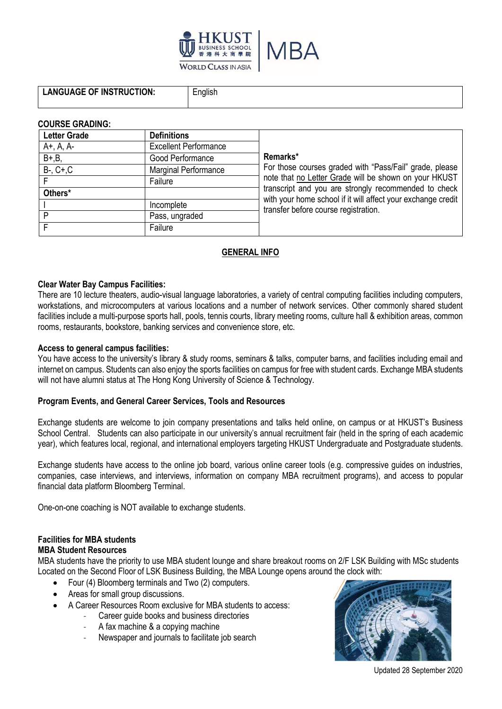

**L**english

#### **COURSE GRADING:**

| <b>Letter Grade</b> | <b>Definitions</b>           |                                                                                                                      |
|---------------------|------------------------------|----------------------------------------------------------------------------------------------------------------------|
| A+, A, A-           | <b>Excellent Performance</b> |                                                                                                                      |
| $B+, B,$            | Good Performance             | Remarks*                                                                                                             |
| $B-, C+, C$         | Marginal Performance         | For those courses graded with "Pass/Fail" grade, please<br>note that no Letter Grade will be shown on your HKUST     |
|                     | Failure                      |                                                                                                                      |
| Others*             |                              | transcript and you are strongly recommended to check<br>with your home school if it will affect your exchange credit |
|                     | Incomplete                   | transfer before course registration.                                                                                 |
| P                   | Pass, ungraded               |                                                                                                                      |
|                     | Failure                      |                                                                                                                      |

### **GENERAL INFO**

#### **Clear Water Bay Campus Facilities:**

There are 10 lecture theaters, audio-visual language laboratories, a variety of central computing facilities including computers, workstations, and microcomputers at various locations and a number of network services. Other commonly shared student facilities include a multi-purpose sports hall, pools, tennis courts, library meeting rooms, culture hall & exhibition areas, common rooms, restaurants, bookstore, banking services and convenience store, etc.

#### **Access to general campus facilities:**

You have access to the university's library & study rooms, seminars & talks, computer barns, and facilities including email and internet on campus. Students can also enjoy the sports facilities on campus for free with student cards. Exchange MBA students will not have alumni status at The Hong Kong University of Science & Technology.

#### **Program Events, and General Career Services, Tools and Resources**

Exchange students are welcome to join company presentations and talks held online, on campus or at HKUST's Business School Central. Students can also participate in our university's annual recruitment fair (held in the spring of each academic year), which features local, regional, and international employers targeting HKUST Undergraduate and Postgraduate students.

Exchange students have access to the online job board, various online career tools (e.g. compressive guides on industries, companies, case interviews, and interviews, information on company MBA recruitment programs), and access to popular financial data platform Bloomberg Terminal.

One-on-one coaching is NOT available to exchange students.

### **Facilities for MBA students**

#### **MBA Student Resources**

MBA students have the priority to use MBA student lounge and share breakout rooms on 2/F LSK Building with MSc students Located on the Second Floor of LSK Business Building, the MBA Lounge opens around the clock with:

- Four (4) Bloomberg terminals and Two (2) computers.
- Areas for small group discussions.
- A Career Resources Room exclusive for MBA students to access:
	- Career guide books and business directories
		- A fax machine & a copying machine
		- Newspaper and journals to facilitate job search



Updated 28 September 2020